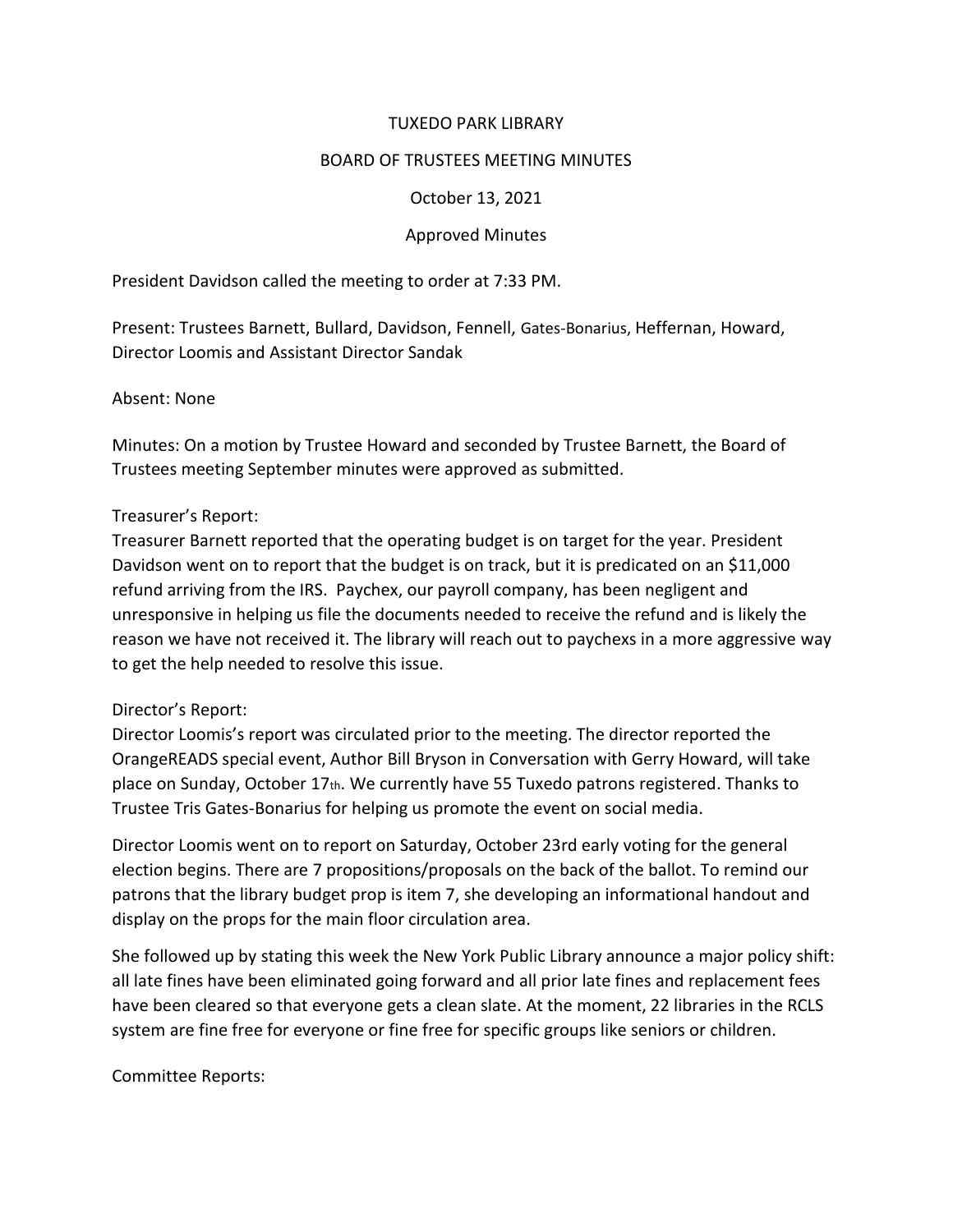#### TUXEDO PARK LIBRARY

#### BOARD OF TRUSTEES MEETING MINUTES

#### October 13, 2021

## Approved Minutes

President Davidson called the meeting to order at 7:33 PM.

Present: Trustees Barnett, Bullard, Davidson, Fennell, Gates-Bonarius, Heffernan, Howard, Director Loomis and Assistant Director Sandak

#### Absent: None

Minutes: On a motion by Trustee Howard and seconded by Trustee Barnett, the Board of Trustees meeting September minutes were approved as submitted.

#### Treasurer's Report:

Treasurer Barnett reported that the operating budget is on target for the year. President Davidson went on to report that the budget is on track, but it is predicated on an \$11,000 refund arriving from the IRS. Paychex, our payroll company, has been negligent and unresponsive in helping us file the documents needed to receive the refund and is likely the reason we have not received it. The library will reach out to paychexs in a more aggressive way to get the help needed to resolve this issue.

## Director's Report:

Director Loomis's report was circulated prior to the meeting. The director reported the OrangeREADS special event, Author Bill Bryson in Conversation with Gerry Howard, will take place on Sunday, October 17th. We currently have 55 Tuxedo patrons registered. Thanks to Trustee Tris Gates-Bonarius for helping us promote the event on social media.

Director Loomis went on to report on Saturday, October 23rd early voting for the general election begins. There are 7 propositions/proposals on the back of the ballot. To remind our patrons that the library budget prop is item 7, she developing an informational handout and display on the props for the main floor circulation area.

She followed up by stating this week the New York Public Library announce a major policy shift: all late fines have been eliminated going forward and all prior late fines and replacement fees have been cleared so that everyone gets a clean slate. At the moment, 22 libraries in the RCLS system are fine free for everyone or fine free for specific groups like seniors or children.

Committee Reports: